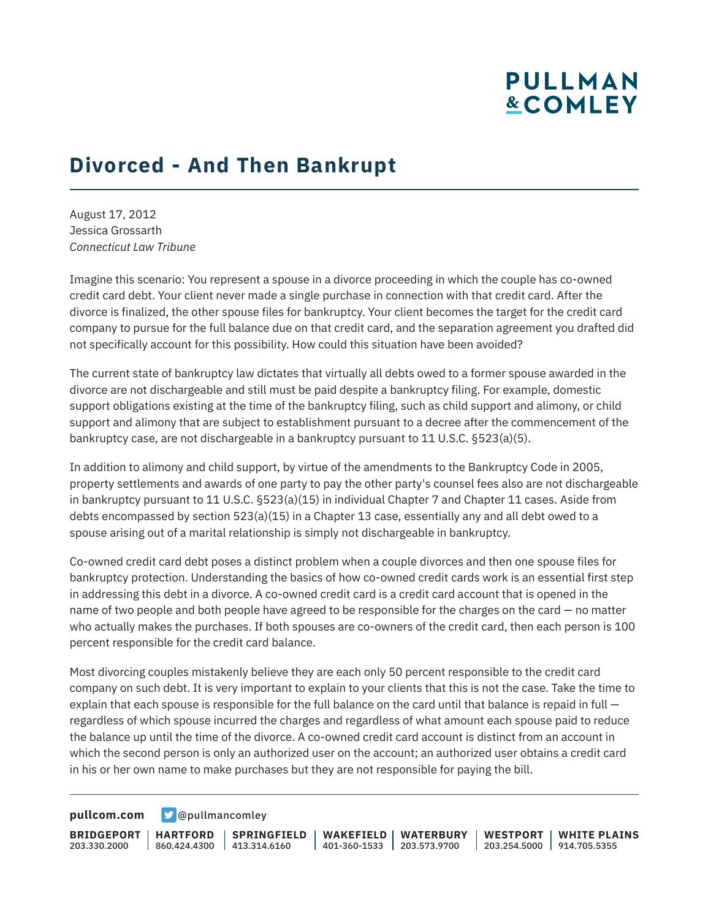## **PULLMAN &COMLEY**

## **Divorced - And Then Bankrupt**

August 17, 2012 Jessica Grossarth *Connecticut Law Tribune*

Imagine this scenario: You represent a spouse in a divorce proceeding in which the couple has co-owned credit card debt. Your client never made a single purchase in connection with that credit card. After the divorce is finalized, the other spouse files for bankruptcy. Your client becomes the target for the credit card company to pursue for the full balance due on that credit card, and the separation agreement you drafted did not specifically account for this possibility. How could this situation have been avoided?

The current state of bankruptcy law dictates that virtually all debts owed to a former spouse awarded in the divorce are not dischargeable and still must be paid despite a bankruptcy filing. For example, domestic support obligations existing at the time of the bankruptcy filing, such as child support and alimony, or child support and alimony that are subject to establishment pursuant to a decree after the commencement of the bankruptcy case, are not dischargeable in a bankruptcy pursuant to 11 U.S.C. §523(a)(5).

In addition to alimony and child support, by virtue of the amendments to the Bankruptcy Code in 2005, property settlements and awards of one party to pay the other party's counsel fees also are not dischargeable in bankruptcy pursuant to 11 U.S.C. §523(a)(15) in individual Chapter 7 and Chapter 11 cases. Aside from debts encompassed by section 523(a)(15) in a Chapter 13 case, essentially any and all debt owed to a spouse arising out of a marital relationship is simply not dischargeable in bankruptcy.

Co-owned credit card debt poses a distinct problem when a couple divorces and then one spouse files for bankruptcy protection. Understanding the basics of how co-owned credit cards work is an essential first step in addressing this debt in a divorce. A co-owned credit card is a credit card account that is opened in the name of two people and both people have agreed to be responsible for the charges on the card — no matter who actually makes the purchases. If both spouses are co-owners of the credit card, then each person is 100 percent responsible for the credit card balance.

Most divorcing couples mistakenly believe they are each only 50 percent responsible to the credit card company on such debt. It is very important to explain to your clients that this is not the case. Take the time to explain that each spouse is responsible for the full balance on the card until that balance is repaid in full regardless of which spouse incurred the charges and regardless of what amount each spouse paid to reduce the balance up until the time of the divorce. A co-owned credit card account is distinct from an account in which the second person is only an authorized user on the account; an authorized user obtains a credit card in his or her own name to make purchases but they are not responsible for paying the bill.

**[pullcom.com](https://www.pullcom.com) g** [@pullmancomley](https://twitter.com/PullmanComley)

**BRIDGEPORT HARTFORD** 203.330.2000

860.424.4300 413.314.6160 **SPRINGFIELD**

**WAKEFIELD WATERBURY** 401-360-1533 203.573.9700

**WESTPORT WHITE PLAINS** 203.254.5000 914.705.5355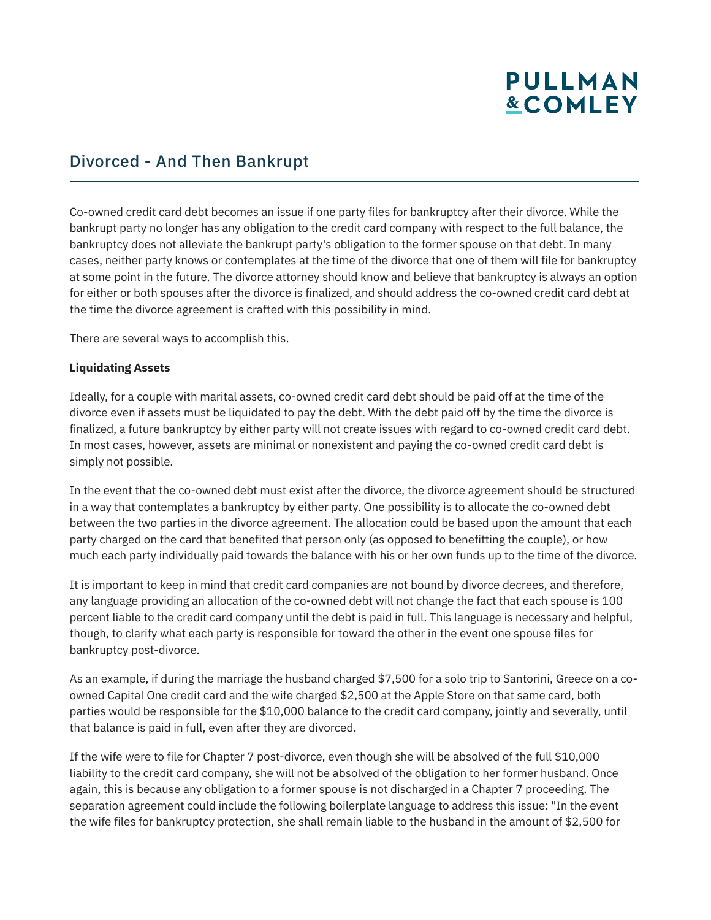# **PULLMAN &COMLEY**

### Divorced - And Then Bankrupt

Co-owned credit card debt becomes an issue if one party files for bankruptcy after their divorce. While the bankrupt party no longer has any obligation to the credit card company with respect to the full balance, the bankruptcy does not alleviate the bankrupt party's obligation to the former spouse on that debt. In many cases, neither party knows or contemplates at the time of the divorce that one of them will file for bankruptcy at some point in the future. The divorce attorney should know and believe that bankruptcy is always an option for either or both spouses after the divorce is finalized, and should address the co-owned credit card debt at the time the divorce agreement is crafted with this possibility in mind.

There are several ways to accomplish this.

#### **Liquidating Assets**

Ideally, for a couple with marital assets, co-owned credit card debt should be paid off at the time of the divorce even if assets must be liquidated to pay the debt. With the debt paid off by the time the divorce is finalized, a future bankruptcy by either party will not create issues with regard to co-owned credit card debt. In most cases, however, assets are minimal or nonexistent and paying the co-owned credit card debt is simply not possible.

In the event that the co-owned debt must exist after the divorce, the divorce agreement should be structured in a way that contemplates a bankruptcy by either party. One possibility is to allocate the co-owned debt between the two parties in the divorce agreement. The allocation could be based upon the amount that each party charged on the card that benefited that person only (as opposed to benefitting the couple), or how much each party individually paid towards the balance with his or her own funds up to the time of the divorce.

It is important to keep in mind that credit card companies are not bound by divorce decrees, and therefore, any language providing an allocation of the co-owned debt will not change the fact that each spouse is 100 percent liable to the credit card company until the debt is paid in full. This language is necessary and helpful, though, to clarify what each party is responsible for toward the other in the event one spouse files for bankruptcy post-divorce.

As an example, if during the marriage the husband charged \$7,500 for a solo trip to Santorini, Greece on a coowned Capital One credit card and the wife charged \$2,500 at the Apple Store on that same card, both parties would be responsible for the \$10,000 balance to the credit card company, jointly and severally, until that balance is paid in full, even after they are divorced.

If the wife were to file for Chapter 7 post-divorce, even though she will be absolved of the full \$10,000 liability to the credit card company, she will not be absolved of the obligation to her former husband. Once again, this is because any obligation to a former spouse is not discharged in a Chapter 7 proceeding. The separation agreement could include the following boilerplate language to address this issue: "In the event the wife files for bankruptcy protection, she shall remain liable to the husband in the amount of \$2,500 for